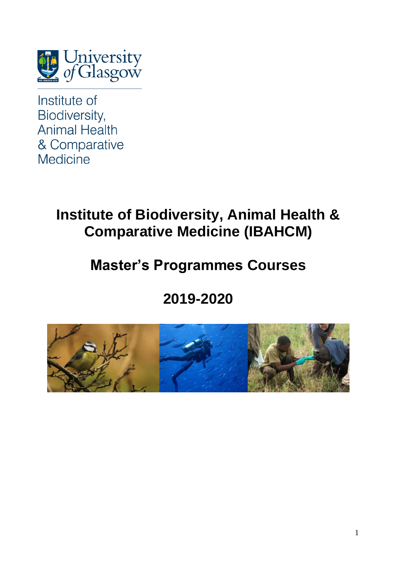

Institute of Biodiversity, **Animal Health** & Comparative **Medicine** 

## **Institute of Biodiversity, Animal Health & Comparative Medicine (IBAHCM)**

## **Master's Programmes Courses**

# **2019-2020**

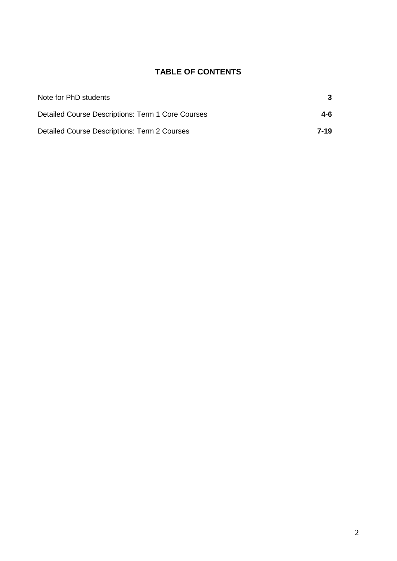## **TABLE OF CONTENTS**

| Note for PhD students                             | 3    |
|---------------------------------------------------|------|
| Detailed Course Descriptions: Term 1 Core Courses | 4-6  |
| Detailed Course Descriptions: Term 2 Courses      | 7-19 |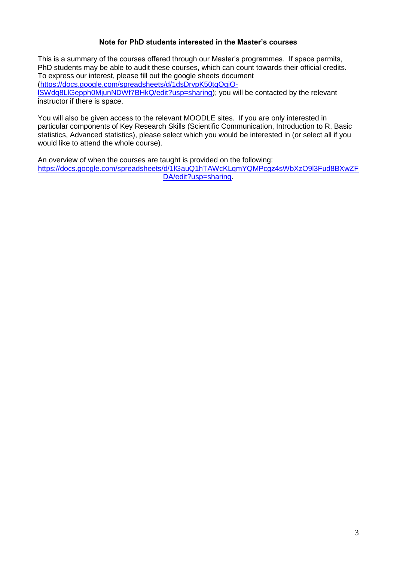### **Note for PhD students interested in the Master's courses**

This is a summary of the courses offered through our Master's programmes. If space permits, PhD students may be able to audit these courses, which can count towards their official credits. To express our interest, please fill out the google sheets document [\(https://docs.google.com/spreadsheets/d/1dsDrvpK50tqOgiO](https://docs.google.com/spreadsheets/d/1dsDrvpK50tqOgiO-lSWdq8LlGepph0MjunNDWf7BHkQ/edit?usp=sharing)[lSWdq8LlGepph0MjunNDWf7BHkQ/edit?usp=sharing\)](https://docs.google.com/spreadsheets/d/1dsDrvpK50tqOgiO-lSWdq8LlGepph0MjunNDWf7BHkQ/edit?usp=sharing); you will be contacted by the relevant instructor if there is space.

You will also be given access to the relevant MOODLE sites. If you are only interested in particular components of Key Research Skills (Scientific Communication, Introduction to R, Basic statistics, Advanced statistics), please select which you would be interested in (or select all if you would like to attend the whole course).

An overview of when the courses are taught is provided on the following: [https://docs.google.com/spreadsheets/d/1lGauQ1hTAWcKLqmYQMPcgz4sWbXzO9l3Fud8BXwZF](https://docs.google.com/spreadsheets/d/1lGauQ1hTAWcKLqmYQMPcgz4sWbXzO9l3Fud8BXwZFDA/edit?usp=sharing) [DA/edit?usp=sharing.](https://docs.google.com/spreadsheets/d/1lGauQ1hTAWcKLqmYQMPcgz4sWbXzO9l3Fud8BXwZFDA/edit?usp=sharing)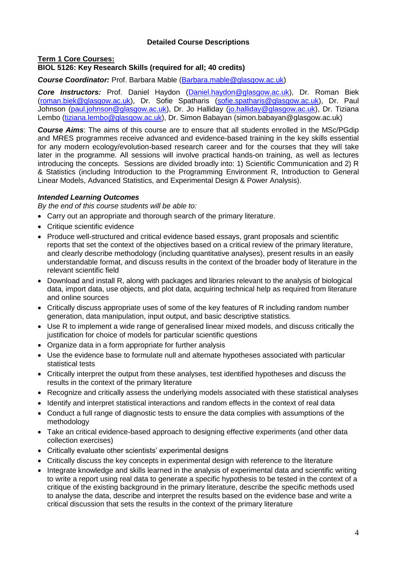### **Detailed Course Descriptions**

#### **Term 1 Core Courses: BIOL 5126: Key Research Skills (required for all; 40 credits)**

#### *Course Coordinator:* Prof. Barbara Mable [\(Barbara.mable@glasgow.ac.uk\)](mailto:Barbara.mable@glasgow.ac.uk)

*Core Instructors:* Prof. Daniel Haydon [\(Daniel.haydon@glasgow.ac.uk\)](mailto:Daniel.haydon@glasgow.ac.uk), Dr. Roman Biek [\(roman.biek@glasgow.ac.uk\)](mailto:roman.biek@glasgow.ac.uk), Dr. Sofie Spatharis [\(sofie.spatharis@glasgow.ac.uk\)](mailto:sofie.spatharis@glasgow.ac.uk), Dr. Paul Johnson [\(paul.johnson@glasgow.ac.uk\)](mailto:paul.johnson@glasgow.ac.uk), Dr. Jo Halliday [\(jo.halliday@glasgow.ac.uk\)](mailto:jo.halliday@glasgow.ac.uk), Dr. Tiziana Lembo [\(tiziana.lembo@glasgow.ac.uk\)](mailto:tiziana.lembo@glasgow.ac.uk), Dr. Simon Babayan (simon.babayan@glasgow.ac.uk)

*Course Aims*: The aims of this course are to ensure that all students enrolled in the MSc/PGdip and MRES programmes receive advanced and evidence-based training in the key skills essential for any modern ecology/evolution-based research career and for the courses that they will take later in the programme. All sessions will involve practical hands-on training, as well as lectures introducing the concepts. Sessions are divided broadly into: 1) Scientific Communication and 2) R & Statistics (including Introduction to the Programming Environment R, Introduction to General Linear Models, Advanced Statistics, and Experimental Design & Power Analysis).

#### *Intended Learning Outcomes*

*By the end of this course students will be able to:*

- Carry out an appropriate and thorough search of the primary literature.
- Critique scientific evidence
- Produce well-structured and critical evidence based essays, grant proposals and scientific reports that set the context of the objectives based on a critical review of the primary literature, and clearly describe methodology (including quantitative analyses), present results in an easily understandable format, and discuss results in the context of the broader body of literature in the relevant scientific field
- Download and install R, along with packages and libraries relevant to the analysis of biological data, import data, use objects, and plot data, acquiring technical help as required from literature and online sources
- Critically discuss appropriate uses of some of the key features of R including random number generation, data manipulation, input output, and basic descriptive statistics.
- Use R to implement a wide range of generalised linear mixed models, and discuss critically the justification for choice of models for particular scientific questions
- Organize data in a form appropriate for further analysis
- Use the evidence base to formulate null and alternate hypotheses associated with particular statistical tests
- Critically interpret the output from these analyses, test identified hypotheses and discuss the results in the context of the primary literature
- Recognize and critically assess the underlying models associated with these statistical analyses
- Identify and interpret statistical interactions and random effects in the context of real data
- Conduct a full range of diagnostic tests to ensure the data complies with assumptions of the methodology
- Take an critical evidence-based approach to designing effective experiments (and other data collection exercises)
- Critically evaluate other scientists' experimental designs
- Critically discuss the key concepts in experimental design with reference to the literature
- Integrate knowledge and skills learned in the analysis of experimental data and scientific writing to write a report using real data to generate a specific hypothesis to be tested in the context of a critique of the existing background in the primary literature, describe the specific methods used to analyse the data, describe and interpret the results based on the evidence base and write a critical discussion that sets the results in the context of the primary literature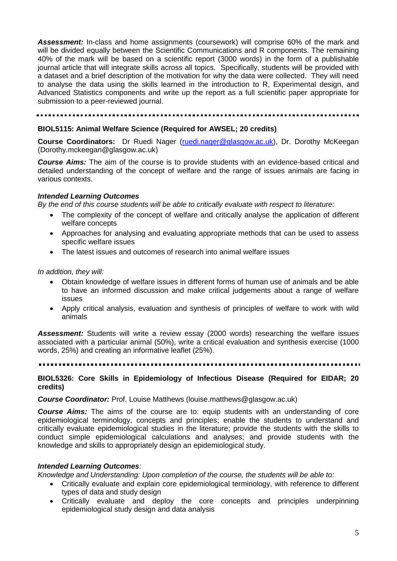*Assessment:* In-class and home assignments (coursework) will comprise 60% of the mark and will be divided equally between the Scientific Communications and R components. The remaining 40% of the mark will be based on a scientific report (3000 words) in the form of a publishable journal article that will integrate skills across all topics. Specifically, students will be provided with a dataset and a brief description of the motivation for why the data were collected. They will need to analyse the data using the skills learned in the introduction to R, Experimental design, and Advanced Statistics components and write up the report as a full scientific paper appropriate for submission to a peer-reviewed journal.

#### **BIOL5115: Animal Welfare Science (Required for AWSEL; 20 credits)**

**Course Coordinators:** Dr Ruedi Nager [\(ruedi.nager@glasgow.ac.uk\)](mailto:ruedi.nager@glasgow.ac.uk), Dr. Dorothy McKeegan (Dorothy.mckeegan@glasgow.ac.uk)

*Course Aims:* The aim of the course is to provide students with an evidence-based critical and detailed understanding of the concept of welfare and the range of issues animals are facing in various contexts.

#### *Intended Learning Outcomes*

*By the end of this course students will be able to critically evaluate with respect to literature:*

- The complexity of the concept of welfare and critically analyse the application of different welfare concepts
- Approaches for analysing and evaluating appropriate methods that can be used to assess specific welfare issues
- The latest issues and outcomes of research into animal welfare issues

*In addition, they will:*

- Obtain knowledge of welfare issues in different forms of human use of animals and be able to have an informed discussion and make critical judgements about a range of welfare issues
- Apply critical analysis, evaluation and synthesis of principles of welfare to work with wild animals

Assessment: Students will write a review essay (2000 words) researching the welfare issues associated with a particular animal (50%), write a critical evaluation and synthesis exercise (1000 words, 25%) and creating an informative leaflet (25%).

#### **BIOL5326: Core Skills in Epidemiology of Infectious Disease (Required for EIDAR; 20 credits)**

#### *Course Coordinator:* Prof. Louise Matthews (louise.matthews@glasgow.ac.uk)

*Course Aims:* The aims of the course are to: equip students with an understanding of core epidemiological terminology, concepts and principles; enable the students to understand and critically evaluate epidemiological studies in the literature; provide the students with the skills to conduct simple epidemiological calculations and analyses; and provide students with the knowledge and skills to appropriately design an epidemiological study.

#### *Intended Learning Outcomes:*

*Knowledge and Understanding: Upon completion of the course, the students will be able to:*

- Critically evaluate and explain core epidemiological terminology, with reference to different types of data and study design
- Critically evaluate and deploy the core concepts and principles underpinning epidemiological study design and data analysis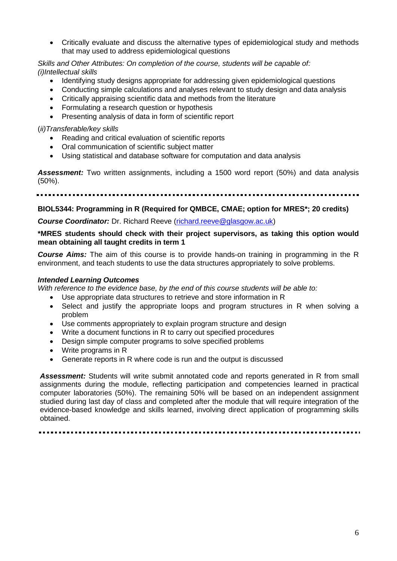• Critically evaluate and discuss the alternative types of epidemiological study and methods that may used to address epidemiological questions

*Skills and Other Attributes: On completion of the course, students will be capable of: (i)Intellectual skills*

- Identifying study designs appropriate for addressing given epidemiological questions
- Conducting simple calculations and analyses relevant to study design and data analysis
- Critically appraising scientific data and methods from the literature
- Formulating a research question or hypothesis
- Presenting analysis of data in form of scientific report

#### (*ii)Transferable/key skills*

- Reading and critical evaluation of scientific reports
- Oral communication of scientific subject matter
- Using statistical and database software for computation and data analysis

*Assessment:* Two written assignments, including a 1500 word report (50%) and data analysis (50%).

#### **BIOL5344: Programming in R (Required for QMBCE, CMAE; option for MRES\*; 20 credits)**

**Course Coordinator:** Dr. Richard Reeve [\(richard.reeve@glasgow.ac.uk\)](mailto:richard.reeve@glasgow.ac.uk)

#### **\*MRES students should check with their project supervisors, as taking this option would mean obtaining all taught credits in term 1**

*Course Aims:* The aim of this course is to provide hands-on training in programming in the R environment, and teach students to use the data structures appropriately to solve problems.

#### *Intended Learning Outcomes*

*With reference to the evidence base, by the end of this course students will be able to:*

- Use appropriate data structures to retrieve and store information in R
- Select and justify the appropriate loops and program structures in R when solving a problem
- Use comments appropriately to explain program structure and design
- Write a document functions in R to carry out specified procedures
- Design simple computer programs to solve specified problems
- Write programs in R
- Generate reports in R where code is run and the output is discussed

*Assessment:* Students will write submit annotated code and reports generated in R from small assignments during the module, reflecting participation and competencies learned in practical computer laboratories (50%). The remaining 50% will be based on an independent assignment studied during last day of class and completed after the module that will require integration of the evidence-based knowledge and skills learned, involving direct application of programming skills obtained.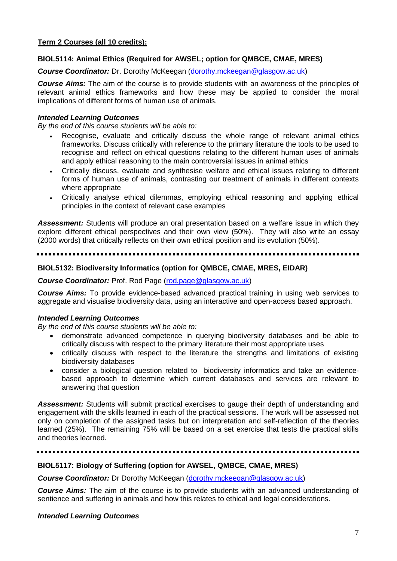### **BIOL5114: Animal Ethics (Required for AWSEL; option for QMBCE, CMAE, MRES)**

*Course Coordinator:* Dr. Dorothy McKeegan [\(dorothy.mckeegan@glasgow.ac.uk\)](mailto:dorothy.mckeegan@glasgow.ac.uk)

*Course Aims:* The aim of the course is to provide students with an awareness of the principles of relevant animal ethics frameworks and how these may be applied to consider the moral implications of different forms of human use of animals.

#### *Intended Learning Outcomes*

*By the end of this course students will be able to:*

- Recognise, evaluate and critically discuss the whole range of relevant animal ethics frameworks. Discuss critically with reference to the primary literature the tools to be used to recognise and reflect on ethical questions relating to the different human uses of animals and apply ethical reasoning to the main controversial issues in animal ethics
- Critically discuss, evaluate and synthesise welfare and ethical issues relating to different forms of human use of animals, contrasting our treatment of animals in different contexts where appropriate
- Critically analyse ethical dilemmas, employing ethical reasoning and applying ethical principles in the context of relevant case examples

*Assessment:* Students will produce an oral presentation based on a welfare issue in which they explore different ethical perspectives and their own view (50%). They will also write an essay (2000 words) that critically reflects on their own ethical position and its evolution (50%).

#### **BIOL5132: Biodiversity Informatics (option for QMBCE, CMAE, MRES, EIDAR)**

#### **Course Coordinator:** Prof. Rod Page [\(rod.page@glasgow.ac.uk\)](mailto:rod.page@glasgow.ac.uk)

*Course Aims:* To provide evidence-based advanced practical training in using web services to aggregate and visualise biodiversity data, using an interactive and open-access based approach.

#### *Intended Learning Outcomes*

*By the end of this course students will be able to:*

- demonstrate advanced competence in querying biodiversity databases and be able to critically discuss with respect to the primary literature their most appropriate uses
- critically discuss with respect to the literature the strengths and limitations of existing biodiversity databases
- consider a biological question related to biodiversity informatics and take an evidencebased approach to determine which current databases and services are relevant to answering that question

*Assessment:* Students will submit practical exercises to gauge their depth of understanding and engagement with the skills learned in each of the practical sessions. The work will be assessed not only on completion of the assigned tasks but on interpretation and self-reflection of the theories learned (25%). The remaining 75% will be based on a set exercise that tests the practical skills and theories learned.

### **BIOL5117: Biology of Suffering (option for AWSEL, QMBCE, CMAE, MRES)**

**Course Coordinator:** Dr Dorothy McKeegan [\(dorothy.mckeegan@glasgow.ac.uk\)](mailto:dorothy.mckeegan@glasgow.ac.uk)

*Course Aims:* The aim of the course is to provide students with an advanced understanding of sentience and suffering in animals and how this relates to ethical and legal considerations.

#### *Intended Learning Outcomes*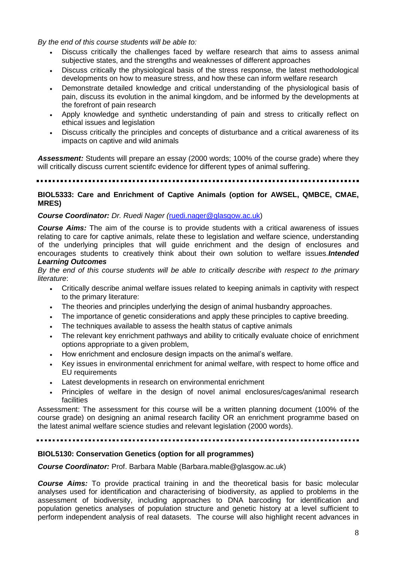*By the end of this course students will be able to:*

- Discuss critically the challenges faced by welfare research that aims to assess animal subjective states, and the strengths and weaknesses of different approaches
- Discuss critically the physiological basis of the stress response, the latest methodological developments on how to measure stress, and how these can inform welfare research
- Demonstrate detailed knowledge and critical understanding of the physiological basis of pain, discuss its evolution in the animal kingdom, and be informed by the developments at the forefront of pain research
- Apply knowledge and synthetic understanding of pain and stress to critically reflect on ethical issues and legislation
- Discuss critically the principles and concepts of disturbance and a critical awareness of its impacts on captive and wild animals

*Assessment:* Students will prepare an essay (2000 words; 100% of the course grade) where they will critically discuss current scientifc evidence for different types of animal suffering.

#### **BIOL5333: Care and Enrichment of Captive Animals (option for AWSEL, QMBCE, CMAE, MRES)**

#### *Course Coordinator: Dr. Ruedi Nager (*[ruedi.nager@glasgow.ac.uk\)](mailto:ruedi.nager@glasgow.ac.uk)

*Course Aims:* The aim of the course is to provide students with a critical awareness of issues relating to care for captive animals, relate these to legislation and welfare science, understanding of the underlying principles that will guide enrichment and the design of enclosures and encourages students to creatively think about their own solution to welfare issues.*Intended Learning Outcomes*

*By the end of this course students will be able to critically describe with respect to the primary literature*:

- Critically describe animal welfare issues related to keeping animals in captivity with respect to the primary literature:
- The theories and principles underlying the design of animal husbandry approaches.
- The importance of genetic considerations and apply these principles to captive breeding.
- The techniques available to assess the health status of captive animals
- The relevant key enrichment pathways and ability to critically evaluate choice of enrichment options appropriate to a given problem,
- How enrichment and enclosure design impacts on the animal's welfare.
- Key issues in environmental enrichment for animal welfare, with respect to home office and EU requirements
- Latest developments in research on environmental enrichment
- Principles of welfare in the design of novel animal enclosures/cages/animal research facilities

Assessment: The assessment for this course will be a written planning document (100% of the course grade) on designing an animal research facility OR an enrichment programme based on the latest animal welfare science studies and relevant legislation (2000 words).

#### **BIOL5130: Conservation Genetics (option for all programmes)**

#### *Course Coordinator:* Prof. Barbara Mable (Barbara.mable@glasgow.ac.uk)

*Course Aims:* To provide practical training in and the theoretical basis for basic molecular analyses used for identification and characterising of biodiversity, as applied to problems in the assessment of biodiversity, including approaches to DNA barcoding for identification and population genetics analyses of population structure and genetic history at a level sufficient to perform independent analysis of real datasets. The course will also highlight recent advances in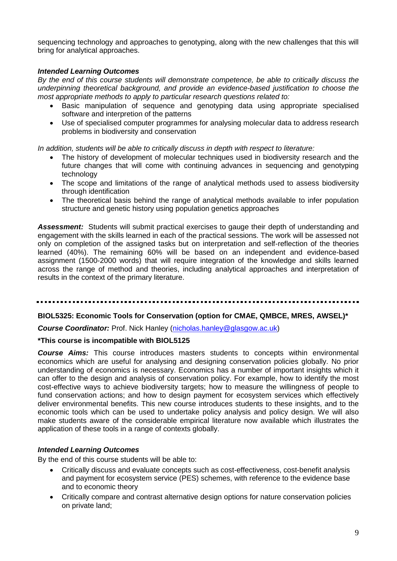sequencing technology and approaches to genotyping, along with the new challenges that this will bring for analytical approaches.

#### *Intended Learning Outcomes*

*By the end of this course students will demonstrate competence, be able to critically discuss the underpinning theoretical background, and provide an evidence-based justification to choose the most appropriate methods to apply to particular research questions related to:*

- Basic manipulation of sequence and genotyping data using appropriate specialised software and interpretion of the patterns
- Use of specialised computer programmes for analysing molecular data to address research problems in biodiversity and conservation

*In addition, students will be able to critically discuss in depth with respect to literature:*

- The history of development of molecular techniques used in biodiversity research and the future changes that will come with continuing advances in sequencing and genotyping technology
- The scope and limitations of the range of analytical methods used to assess biodiversity through identification
- The theoretical basis behind the range of analytical methods available to infer population structure and genetic history using population genetics approaches

*Assessment:* Students will submit practical exercises to gauge their depth of understanding and engagement with the skills learned in each of the practical sessions. The work will be assessed not only on completion of the assigned tasks but on interpretation and self-reflection of the theories learned (40%). The remaining 60% will be based on an independent and evidence-based assignment (1500-2000 words) that will require integration of the knowledge and skills learned across the range of method and theories, including analytical approaches and interpretation of results in the context of the primary literature.

#### **BIOL5325: Economic Tools for Conservation (option for CMAE, QMBCE, MRES, AWSEL)\***

**Course Coordinator:** Prof. Nick Hanley [\(nicholas.hanley@glasgow.ac.uk\)](mailto:nicholas.hanley@glasgow.ac.uk)

#### **\*This course is incompatible with BIOL5125**

*Course Aims:* This course introduces masters students to concepts within environmental economics which are useful for analysing and designing conservation policies globally. No prior understanding of economics is necessary. Economics has a number of important insights which it can offer to the design and analysis of conservation policy. For example, how to identify the most cost-effective ways to achieve biodiversity targets; how to measure the willingness of people to fund conservation actions; and how to design payment for ecosystem services which effectively deliver environmental benefits. This new course introduces students to these insights, and to the economic tools which can be used to undertake policy analysis and policy design. We will also make students aware of the considerable empirical literature now available which illustrates the application of these tools in a range of contexts globally.

#### *Intended Learning Outcomes*

By the end of this course students will be able to:

- Critically discuss and evaluate concepts such as cost-effectiveness, cost-benefit analysis and payment for ecosystem service (PES) schemes, with reference to the evidence base and to economic theory
- Critically compare and contrast alternative design options for nature conservation policies on private land;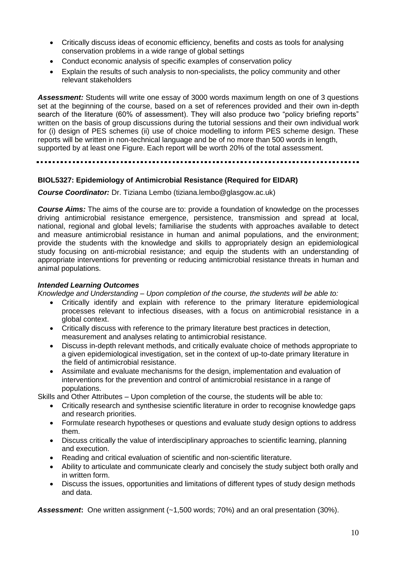- Critically discuss ideas of economic efficiency, benefits and costs as tools for analysing conservation problems in a wide range of global settings
- Conduct economic analysis of specific examples of conservation policy
- Explain the results of such analysis to non-specialists, the policy community and other relevant stakeholders

*Assessment:* Students will write one essay of 3000 words maximum length on one of 3 questions set at the beginning of the course, based on a set of references provided and their own in-depth search of the literature (60% of assessment). They will also produce two "policy briefing reports" written on the basis of group discussions during the tutorial sessions and their own individual work for (i) design of PES schemes (ii) use of choice modelling to inform PES scheme design. These reports will be written in non-technical language and be of no more than 500 words in length, supported by at least one Figure. Each report will be worth 20% of the total assessment.

### **BIOL5327: Epidemiology of Antimicrobial Resistance (Required for EIDAR)**

*Course Coordinator:* Dr. Tiziana Lembo (tiziana.lembo@glasgow.ac.uk)

*Course Aims:* The aims of the course are to: provide a foundation of knowledge on the processes driving antimicrobial resistance emergence, persistence, transmission and spread at local, national, regional and global levels; familiarise the students with approaches available to detect and measure antimicrobial resistance in human and animal populations, and the environment; provide the students with the knowledge and skills to appropriately design an epidemiological study focusing on anti-microbial resistance; and equip the students with an understanding of appropriate interventions for preventing or reducing antimicrobial resistance threats in human and animal populations.

### *Intended Learning Outcomes*

*Knowledge and Understanding – Upon completion of the course, the students will be able to:*

- Critically identify and explain with reference to the primary literature epidemiological processes relevant to infectious diseases, with a focus on antimicrobial resistance in a global context.
- Critically discuss with reference to the primary literature best practices in detection, measurement and analyses relating to antimicrobial resistance.
- Discuss in-depth relevant methods, and critically evaluate choice of methods appropriate to a given epidemiological investigation, set in the context of up-to-date primary literature in the field of antimicrobial resistance.
- Assimilate and evaluate mechanisms for the design, implementation and evaluation of interventions for the prevention and control of antimicrobial resistance in a range of populations.

Skills and Other Attributes – Upon completion of the course, the students will be able to:

- Critically research and synthesise scientific literature in order to recognise knowledge gaps and research priorities.
- Formulate research hypotheses or questions and evaluate study design options to address them.
- Discuss critically the value of interdisciplinary approaches to scientific learning, planning and execution.
- Reading and critical evaluation of scientific and non-scientific literature.
- Ability to articulate and communicate clearly and concisely the study subject both orally and in written form.
- Discuss the issues, opportunities and limitations of different types of study design methods and data.

*Assessment***:** One written assignment (~1,500 words; 70%) and an oral presentation (30%).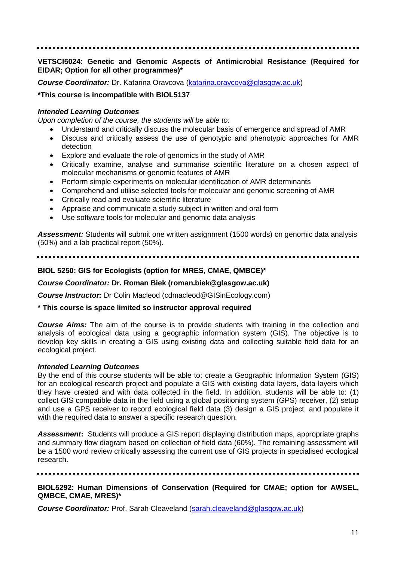#### **VETSCI5024: Genetic and Genomic Aspects of Antimicrobial Resistance (Required for EIDAR; Option for all other programmes)\***

*Course Coordinator:* Dr. Katarina Oravcova [\(katarina.oravcova@glasgow.ac.uk\)](mailto:katarina.oravcova@glasgow.ac.uk)

#### **\*This course is incompatible with BIOL5137**

#### *Intended Learning Outcomes*

*Upon completion of the course, the students will be able to:*

- Understand and critically discuss the molecular basis of emergence and spread of AMR
- Discuss and critically assess the use of genotypic and phenotypic approaches for AMR detection
- Explore and evaluate the role of genomics in the study of AMR
- Critically examine, analyse and summarise scientific literature on a chosen aspect of molecular mechanisms or genomic features of AMR
- Perform simple experiments on molecular identification of AMR determinants
- Comprehend and utilise selected tools for molecular and genomic screening of AMR
- Critically read and evaluate scientific literature
- Appraise and communicate a study subject in written and oral form
- Use software tools for molecular and genomic data analysis

*Assessment:* Students will submit one written assignment (1500 words) on genomic data analysis (50%) and a lab practical report (50%).

#### **BIOL 5250: GIS for Ecologists (option for MRES, CMAE, QMBCE)\***

#### *Course Coordinator:* **Dr. Roman Biek (roman.biek@glasgow.ac.uk)**

*Course Instructor:* Dr Colin Macleod (cdmacleod@GISinEcology.com)

#### **\* This course is space limited so instructor approval required**

*Course Aims:* The aim of the course is to provide students with training in the collection and analysis of ecological data using a geographic information system (GIS). The objective is to develop key skills in creating a GIS using existing data and collecting suitable field data for an ecological project.

#### *Intended Learning Outcomes*

By the end of this course students will be able to: create a Geographic Information System (GIS) for an ecological research project and populate a GIS with existing data layers, data layers which they have created and with data collected in the field. In addition, students will be able to: (1) collect GIS compatible data in the field using a global positioning system (GPS) receiver, (2) setup and use a GPS receiver to record ecological field data (3) design a GIS project, and populate it with the required data to answer a specific research question.

*Assessment***:** Students will produce a GIS report displaying distribution maps, appropriate graphs and summary flow diagram based on collection of field data (60%). The remaining assessment will be a 1500 word review critically assessing the current use of GIS projects in specialised ecological research.

#### **BIOL5292: Human Dimensions of Conservation (Required for CMAE; option for AWSEL, QMBCE, CMAE, MRES)\***

*Course Coordinator:* Prof. Sarah Cleaveland [\(sarah.cleaveland@glasgow.ac.uk\)](mailto:sarah.cleaveland@glasgow.ac.uk)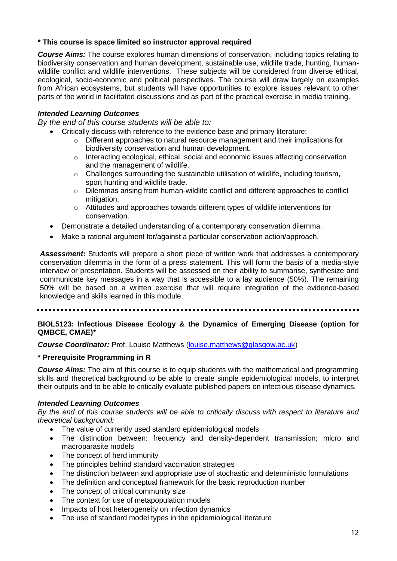### **\* This course is space limited so instructor approval required**

*Course Aims:* The course explores human dimensions of conservation, including topics relating to biodiversity conservation and human development, sustainable use, wildlife trade, hunting, humanwildlife conflict and wildlife interventions. These subjects will be considered from diverse ethical, ecological, socio-economic and political perspectives. The course will draw largely on examples from African ecosystems, but students will have opportunities to explore issues relevant to other parts of the world in facilitated discussions and as part of the practical exercise in media training.

### *Intended Learning Outcomes*

*By the end of this course students will be able to:*

- Critically discuss with reference to the evidence base and primary literature:
	- o Different approaches to natural resource management and their implications for biodiversity conservation and human development.
	- $\circ$  Interacting ecological, ethical, social and economic issues affecting conservation and the management of wildlife.
	- $\circ$  Challenges surrounding the sustainable utilisation of wildlife, including tourism, sport hunting and wildlife trade.
	- o Dilemmas arising from human-wildlife conflict and different approaches to conflict mitigation.
	- o Attitudes and approaches towards different types of wildlife interventions for conservation.
- Demonstrate a detailed understanding of a contemporary conservation dilemma.
- Make a rational argument for/against a particular conservation action/approach.

*Assessment:* Students will prepare a short piece of written work that addresses a contemporary conservation dilemma in the form of a press statement. This will form the basis of a media-style interview or presentation. Students will be assessed on their ability to summarise, synthesize and communicate key messages in a way that is accessible to a lay audience (50%). The remaining 50% will be based on a written exercise that will require integration of the evidence-based knowledge and skills learned in this module.

#### **BIOL5123: Infectious Disease Ecology & the Dynamics of Emerging Disease (option for QMBCE, CMAE)\***

*Course Coordinator:* Prof. Louise Matthews [\(louise.matthews@glasgow.ac.uk\)](mailto:louise.matthews@glasgow.ac.uk)

### **\* Prerequisite Programming in R**

*Course Aims:* The aim of this course is to equip students with the mathematical and programming skills and theoretical background to be able to create simple epidemiological models, to interpret their outputs and to be able to critically evaluate published papers on infectious disease dynamics.

#### *Intended Learning Outcomes*

*By the end of this course students will be able to critically discuss with respect to literature and theoretical background:*

- The value of currently used standard epidemiological models
- The distinction between: frequency and density-dependent transmission; micro and macroparasite models
- The concept of herd immunity
- The principles behind standard vaccination strategies
- The distinction between and appropriate use of stochastic and deterministic formulations
- The definition and conceptual framework for the basic reproduction number
- The concept of critical community size
- The context for use of metapopulation models
- Impacts of host heterogeneity on infection dynamics
- The use of standard model types in the epidemiological literature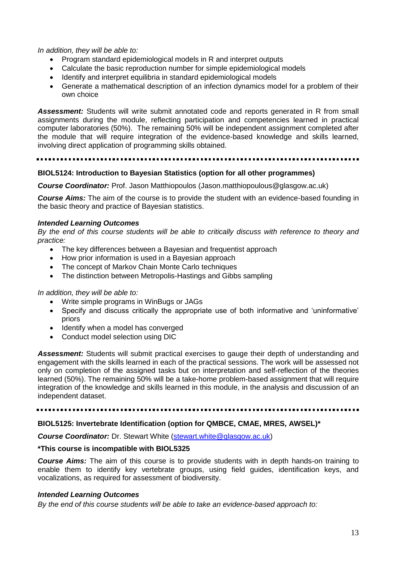*In addition, they will be able to:*

- Program standard epidemiological models in R and interpret outputs
- Calculate the basic reproduction number for simple epidemiological models
- Identify and interpret equilibria in standard epidemiological models
- Generate a mathematical description of an infection dynamics model for a problem of their own choice

*Assessment:* Students will write submit annotated code and reports generated in R from small assignments during the module, reflecting participation and competencies learned in practical computer laboratories (50%). The remaining 50% will be independent assignment completed after the module that will require integration of the evidence-based knowledge and skills learned, involving direct application of programming skills obtained.

#### **BIOL5124: Introduction to Bayesian Statistics (option for all other programmes)**

*Course Coordinator:* Prof. Jason Matthiopoulos (Jason.matthiopoulous@glasgow.ac.uk)

*Course Aims:* The aim of the course is to provide the student with an evidence-based founding in the basic theory and practice of Bayesian statistics.

#### *Intended Learning Outcomes*

*By the end of this course students will be able to critically discuss with reference to theory and practice:*

- The key differences between a Bayesian and frequentist approach
- How prior information is used in a Bayesian approach
- The concept of Markov Chain Monte Carlo techniques
- The distinction between Metropolis-Hastings and Gibbs sampling

#### *In addition, they will be able to:*

- Write simple programs in WinBugs or JAGs
- Specify and discuss critically the appropriate use of both informative and 'uninformative' priors
- Identify when a model has converged
- Conduct model selection using DIC

*Assessment:* Students will submit practical exercises to gauge their depth of understanding and engagement with the skills learned in each of the practical sessions. The work will be assessed not only on completion of the assigned tasks but on interpretation and self-reflection of the theories learned (50%). The remaining 50% will be a take-home problem-based assignment that will require integration of the knowledge and skills learned in this module, in the analysis and discussion of an independent dataset.

#### **BIOL5125: Invertebrate Identification (option for QMBCE, CMAE, MRES, AWSEL)\***

**Course Coordinator:** Dr. Stewart White [\(stewart.white@glasgow.ac.uk\)](mailto:stewart.white@glasgow.ac.uk)

#### **\*This course is incompatible with BIOL5325**

*Course Aims:* The aim of this course is to provide students with in depth hands-on training to enable them to identify key vertebrate groups, using field guides, identification keys, and vocalizations, as required for assessment of biodiversity.

#### *Intended Learning Outcomes*

*By the end of this course students will be able to take an evidence-based approach to:*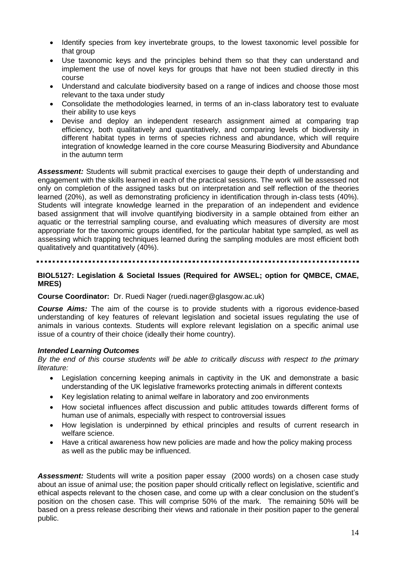- Identify species from key invertebrate groups, to the lowest taxonomic level possible for that group
- Use taxonomic keys and the principles behind them so that they can understand and implement the use of novel keys for groups that have not been studied directly in this course
- Understand and calculate biodiversity based on a range of indices and choose those most relevant to the taxa under study
- Consolidate the methodologies learned, in terms of an in-class laboratory test to evaluate their ability to use keys
- Devise and deploy an independent research assignment aimed at comparing trap efficiency, both qualitatively and quantitatively, and comparing levels of biodiversity in different habitat types in terms of species richness and abundance, which will require integration of knowledge learned in the core course Measuring Biodiversity and Abundance in the autumn term

*Assessment:* Students will submit practical exercises to gauge their depth of understanding and engagement with the skills learned in each of the practical sessions. The work will be assessed not only on completion of the assigned tasks but on interpretation and self reflection of the theories learned (20%), as well as demonstrating proficiency in identification through in-class tests (40%). Students will integrate knowledge learned in the preparation of an independent and evidence based assignment that will involve quantifying biodiversity in a sample obtained from either an aquatic or the terrestrial sampling course, and evaluating which measures of diversity are most appropriate for the taxonomic groups identified, for the particular habitat type sampled, as well as assessing which trapping techniques learned during the sampling modules are most efficient both qualitatively and quantitatively (40%).

#### **BIOL5127: Legislation & Societal Issues (Required for AWSEL; option for QMBCE, CMAE, MRES)**

#### **Course Coordinator:** Dr. Ruedi Nager (ruedi.nager@glasgow.ac.uk)

*Course Aims:* The aim of the course is to provide students with a rigorous evidence-based understanding of key features of relevant legislation and societal issues regulating the use of animals in various contexts. Students will explore relevant legislation on a specific animal use issue of a country of their choice (ideally their home country).

#### *Intended Learning Outcomes*

*By the end of this course students will be able to critically discuss with respect to the primary literature:*

- Legislation concerning keeping animals in captivity in the UK and demonstrate a basic understanding of the UK legislative frameworks protecting animals in different contexts
- Key legislation relating to animal welfare in laboratory and zoo environments
- How societal influences affect discussion and public attitudes towards different forms of human use of animals, especially with respect to controversial issues
- How legislation is underpinned by ethical principles and results of current research in welfare science.
- Have a critical awareness how new policies are made and how the policy making process as well as the public may be influenced.

*Assessment:* Students will write a position paper essay (2000 words) on a chosen case study about an issue of animal use; the position paper should critically reflect on legislative, scientific and ethical aspects relevant to the chosen case, and come up with a clear conclusion on the student's position on the chosen case. This will comprise 50% of the mark. The remaining 50% will be based on a press release describing their views and rationale in their position paper to the general public.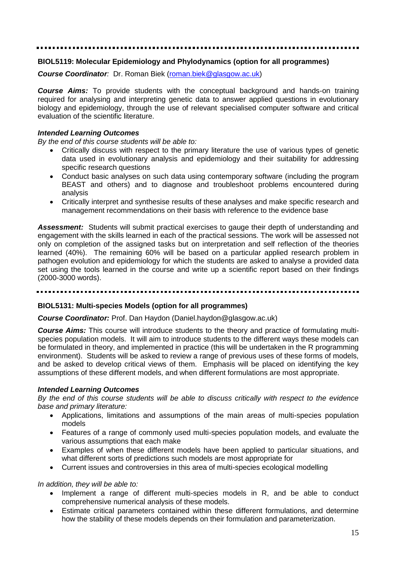#### **BIOL5119: Molecular Epidemiology and Phylodynamics (option for all programmes)**

*Course Coordinator:* Dr. Roman Biek [\(roman.biek@glasgow.ac.uk\)](mailto:roman.biek@glasgow.ac.uk)

*Course Aims:* To provide students with the conceptual background and hands-on training required for analysing and interpreting genetic data to answer applied questions in evolutionary biology and epidemiology, through the use of relevant specialised computer software and critical evaluation of the scientific literature.

#### *Intended Learning Outcomes*

*By the end of this course students will be able to:*

- Critically discuss with respect to the primary literature the use of various types of genetic data used in evolutionary analysis and epidemiology and their suitability for addressing specific research questions
- Conduct basic analyses on such data using contemporary software (including the program BEAST and others) and to diagnose and troubleshoot problems encountered during analysis
- Critically interpret and synthesise results of these analyses and make specific research and management recommendations on their basis with reference to the evidence base

*Assessment:* Students will submit practical exercises to gauge their depth of understanding and engagement with the skills learned in each of the practical sessions. The work will be assessed not only on completion of the assigned tasks but on interpretation and self reflection of the theories learned (40%). The remaining 60% will be based on a particular applied research problem in pathogen evolution and epidemiology for which the students are asked to analyse a provided data set using the tools learned in the course and write up a scientific report based on their findings (2000-3000 words).

#### --------------

#### **BIOL5131: Multi-species Models (option for all programmes)**

#### *Course Coordinator:* Prof. Dan Haydon (Daniel.haydon@glasgow.ac.uk)

*Course Aims:* This course will introduce students to the theory and practice of formulating multispecies population models. It will aim to introduce students to the different ways these models can be formulated in theory, and implemented in practice (this will be undertaken in the R programming environment). Students will be asked to review a range of previous uses of these forms of models, and be asked to develop critical views of them. Emphasis will be placed on identifying the key assumptions of these different models, and when different formulations are most appropriate.

#### *Intended Learning Outcomes*

*By the end of this course students will be able to discuss critically with respect to the evidence base and primary literature:*

- Applications, limitations and assumptions of the main areas of multi-species population models
- Features of a range of commonly used multi-species population models, and evaluate the various assumptions that each make
- Examples of when these different models have been applied to particular situations, and what different sorts of predictions such models are most appropriate for
- Current issues and controversies in this area of multi-species ecological modelling

*In addition, they will be able to:*

- Implement a range of different multi-species models in R, and be able to conduct comprehensive numerical analysis of these models.
- Estimate critical parameters contained within these different formulations, and determine how the stability of these models depends on their formulation and parameterization.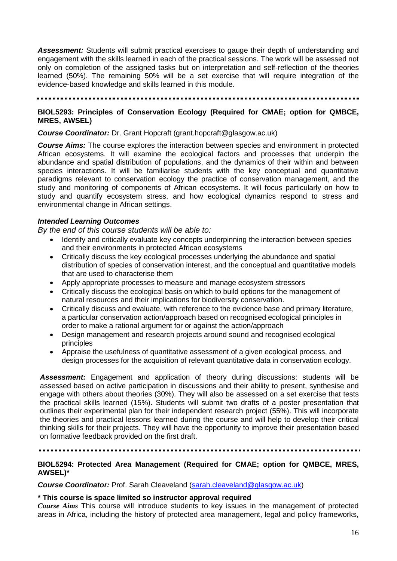*Assessment:* Students will submit practical exercises to gauge their depth of understanding and engagement with the skills learned in each of the practical sessions. The work will be assessed not only on completion of the assigned tasks but on interpretation and self-reflection of the theories learned (50%). The remaining 50% will be a set exercise that will require integration of the evidence-based knowledge and skills learned in this module.

#### **BIOL5293: Principles of Conservation Ecology (Required for CMAE; option for QMBCE, MRES, AWSEL)**

#### *Course Coordinator:* Dr. Grant Hopcraft (grant.hopcraft@glasgow.ac.uk)

*Course Aims:* The course explores the interaction between species and environment in protected African ecosystems. It will examine the ecological factors and processes that underpin the abundance and spatial distribution of populations, and the dynamics of their within and between species interactions. It will be familiarise students with the key conceptual and quantitative paradigms relevant to conservation ecology the practice of conservation management, and the study and monitoring of components of African ecosystems. It will focus particularly on how to study and quantify ecosystem stress, and how ecological dynamics respond to stress and environmental change in African settings.

#### *Intended Learning Outcomes*

*By the end of this course students will be able to:*

- Identify and critically evaluate key concepts underpinning the interaction between species and their environments in protected African ecosystems
- Critically discuss the key ecological processes underlying the abundance and spatial distribution of species of conservation interest, and the conceptual and quantitative models that are used to characterise them
- Apply appropriate processes to measure and manage ecosystem stressors
- Critically discuss the ecological basis on which to build options for the management of natural resources and their implications for biodiversity conservation.
- Critically discuss and evaluate, with reference to the evidence base and primary literature, a particular conservation action/approach based on recognised ecological principles in order to make a rational argument for or against the action/approach
- Design management and research projects around sound and recognised ecological principles
- Appraise the usefulness of quantitative assessment of a given ecological process, and design processes for the acquisition of relevant quantitative data in conservation ecology.

*Assessment:* Engagement and application of theory during discussions: students will be assessed based on active participation in discussions and their ability to present, synthesise and engage with others about theories (30%). They will also be assessed on a set exercise that tests the practical skills learned (15%). Students will submit two drafts of a poster presentation that outlines their experimental plan for their independent research project (55%). This will incorporate the theories and practical lessons learned during the course and will help to develop their critical thinking skills for their projects. They will have the opportunity to improve their presentation based on formative feedback provided on the first draft.

#### **BIOL5294: Protected Area Management (Required for CMAE; option for QMBCE, MRES, AWSEL)\***

*Course Coordinator:* Prof. Sarah Cleaveland [\(sarah.cleaveland@glasgow.ac.uk\)](mailto:sarah.cleaveland@glasgow.ac.uk)

#### **\* This course is space limited so instructor approval required**

*Course Aims* This course will introduce students to key issues in the management of protected areas in Africa, including the history of protected area management, legal and policy frameworks,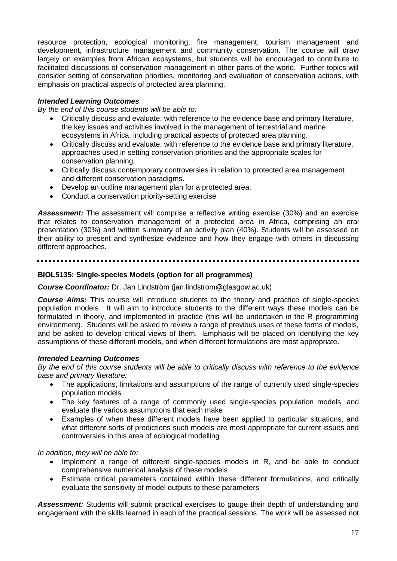resource protection, ecological monitoring, fire management, tourism management and development, infrastructure management and community conservation. The course will draw largely on examples from African ecosystems, but students will be encouraged to contribute to facilitated discussions of conservation management in other parts of the world. Further topics will consider setting of conservation priorities, monitoring and evaluation of conservation actions, with emphasis on practical aspects of protected area planning.

### *Intended Learning Outcomes*

*By the end of this course students will be able to:*

- Critically discuss and evaluate, with reference to the evidence base and primary literature, the key issues and activities involved in the management of terrestrial and marine ecosystems in Africa, including practical aspects of protected area planning.
- Critically discuss and evaluate, with reference to the evidence base and primary literature, approaches used in setting conservation priorities and the appropriate scales for conservation planning.
- Critically discuss contemporary controversies in relation to protected area management and different conservation paradigms.
- Develop an outline management plan for a protected area.
- Conduct a conservation priority-setting exercise

*Assessment:* The assessment will comprise a reflective writing exercise (30%) and an exercise that relates to conservation management of a protected area in Africa, comprising an oral presentation (30%) and written summary of an activity plan (40%). Students will be assessed on their ability to present and synthesize evidence and how they engage with others in discussing different approaches.

#### **BIOL5135: Single-species Models (option for all programmes)**

#### *Course Coordinator:* Dr. Jan Lindström (jan.lindstrom@glasgow.ac.uk)

*Course Aims:* This course will introduce students to the theory and practice of single-species population models. It will aim to introduce students to the different ways these models can be formulated in theory, and implemented in practice (this will be undertaken in the R programming environment). Students will be asked to review a range of previous uses of these forms of models, and be asked to develop critical views of them. Emphasis will be placed on identifying the key assumptions of these different models, and when different formulations are most appropriate.

#### *Intended Learning Outcomes*

*By the end of this course students will be able to critically discuss with reference to the evidence base and primary literature:*

- The applications, limitations and assumptions of the range of currently used single-species population models
- The key features of a range of commonly used single-species population models, and evaluate the various assumptions that each make
- Examples of when these different models have been applied to particular situations, and what different sorts of predictions such models are most appropriate for current issues and controversies in this area of ecological modelling

*In addition, they will be able to:*

- Implement a range of different single-species models in R, and be able to conduct comprehensive numerical analysis of these models
- Estimate critical parameters contained within these different formulations, and critically evaluate the sensitivity of model outputs to these parameters

*Assessment:* Students will submit practical exercises to gauge their depth of understanding and engagement with the skills learned in each of the practical sessions. The work will be assessed not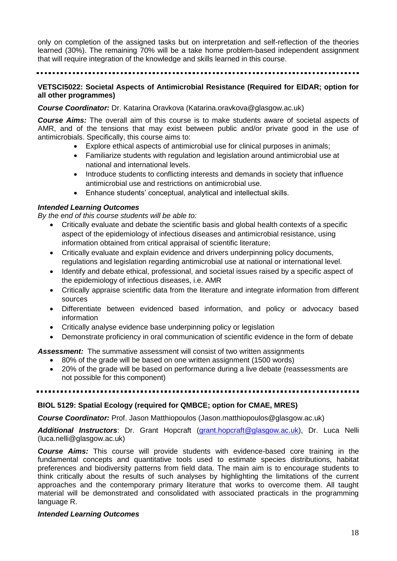only on completion of the assigned tasks but on interpretation and self-reflection of the theories learned (30%). The remaining 70% will be a take home problem-based independent assignment that will require integration of the knowledge and skills learned in this course.

#### **VETSCI5022: Societal Aspects of Antimicrobial Resistance (Required for EIDAR; option for all other programmes)**

*Course Coordinator:* Dr. Katarina Oravkova (Katarina.oravkova@glasgow.ac.uk)

*Course Aims:* The overall aim of this course is to make students aware of societal aspects of AMR, and of the tensions that may exist between public and/or private good in the use of antimicrobials. Specifically, this course aims to:

- Explore ethical aspects of antimicrobial use for clinical purposes in animals;
- Familiarize students with regulation and legislation around antimicrobial use at national and international levels.
- Introduce students to conflicting interests and demands in society that influence antimicrobial use and restrictions on antimicrobial use.
- Enhance students' conceptual, analytical and intellectual skills.

#### *Intended Learning Outcomes*

*By the end of this course students will be able to:*

- Critically evaluate and debate the scientific basis and global health contexts of a specific aspect of the epidemiology of infectious diseases and antimicrobial resistance, using information obtained from critical appraisal of scientific literature;
- Critically evaluate and explain evidence and drivers underpinning policy documents, regulations and legislation regarding antimicrobial use at national or international level.
- Identify and debate ethical, professional, and societal issues raised by a specific aspect of the epidemiology of infectious diseases, i.e. AMR
- Critically appraise scientific data from the literature and integrate information from different sources
- Differentiate between evidenced based information, and policy or advocacy based information
- Critically analyse evidence base underpinning policy or legislation
- Demonstrate proficiency in oral communication of scientific evidence in the form of debate

*Assessment:* The summative assessment will consist of two written assignments

- 80% of the grade will be based on one written assignment (1500 words)
- 20% of the grade will be based on performance during a live debate (reassessments are not possible for this component)

#### **BIOL 5129: Spatial Ecology (required for QMBCE; option for CMAE, MRES)**

*Course Coordinator:* Prof. Jason Matthiopoulos (Jason.matthiopoulos@glasgow.ac.uk)

Additional Instructors: Dr. Grant Hopcraft [\(grant.hopcraft@glasgow.ac.uk\)](mailto:grant.hopcraft@glasgow.ac.uk), Dr. Luca Nelli (luca.nelli@glasgow.ac.uk)

*Course Aims:* This course will provide students with evidence-based core training in the fundamental concepts and quantitative tools used to estimate species distributions, habitat preferences and biodiversity patterns from field data. The main aim is to encourage students to think critically about the results of such analyses by highlighting the limitations of the current approaches and the contemporary primary literature that works to overcome them. All taught material will be demonstrated and consolidated with associated practicals in the programming language R.

#### *Intended Learning Outcomes*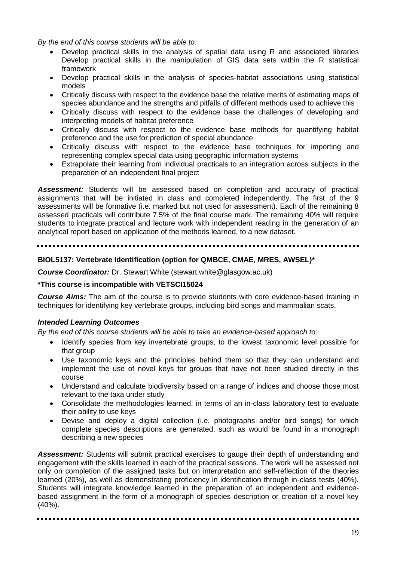*By the end of this course students will be able to:*

- Develop practical skills in the analysis of spatial data using R and associated libraries Develop practical skills in the manipulation of GIS data sets within the R statistical framework
- Develop practical skills in the analysis of species-habitat associations using statistical models
- Critically discuss with respect to the evidence base the relative merits of estimating maps of species abundance and the strengths and pitfalls of different methods used to achieve this
- Critically discuss with respect to the evidence base the challenges of developing and interpreting models of habitat preference
- Critically discuss with respect to the evidence base methods for quantifying habitat preference and the use for prediction of special abundance
- Critically discuss with respect to the evidence base techniques for importing and representing complex special data using geographic information systems
- Extrapolate their learning from individual practicals to an integration across subjects in the preparation of an independent final project

*Assessment:* Students will be assessed based on completion and accuracy of practical assignments that will be initiated in class and completed independently. The first of the 9 assessments will be formative (i.e. marked but not used for assessment). Each of the remaining 8 assessed practicals will contribute 7.5% of the final course mark. The remaining 40% will require students to integrate practical and lecture work with independent reading in the generation of an analytical report based on application of the methods learned, to a new dataset.

### **BIOL5137: Vertebrate Identification (option for QMBCE, CMAE, MRES, AWSEL)\***

**Course Coordinator:** Dr. Stewart White (stewart.white@glasgow.ac.uk)

### **\*This course is incompatible with VETSCI15024**

*Course Aims:* The aim of the course is to provide students with core evidence-based training in techniques for identifying key vertebrate groups, including bird songs and mammalian scats.

### *Intended Learning Outcomes*

*By the end of this course students will be able to take an evidence-based approach to:*

- Identify species from key invertebrate groups, to the lowest taxonomic level possible for that group
- Use taxonomic keys and the principles behind them so that they can understand and implement the use of novel keys for groups that have not been studied directly in this course
- Understand and calculate biodiversity based on a range of indices and choose those most relevant to the taxa under study
- Consolidate the methodologies learned, in terms of an in-class laboratory test to evaluate their ability to use keys
- Devise and deploy a digital collection (i.e. photographs and/or bird songs) for which complete species descriptions are generated, such as would be found in a monograph describing a new species

*Assessment:* Students will submit practical exercises to gauge their depth of understanding and engagement with the skills learned in each of the practical sessions. The work will be assessed not only on completion of the assigned tasks but on interpretation and self-reflection of the theories learned (20%), as well as demonstrating proficiency in identification through in-class tests (40%). Students will integrate knowledge learned in the preparation of an independent and evidencebased assignment in the form of a monograph of species description or creation of a novel key (40%).